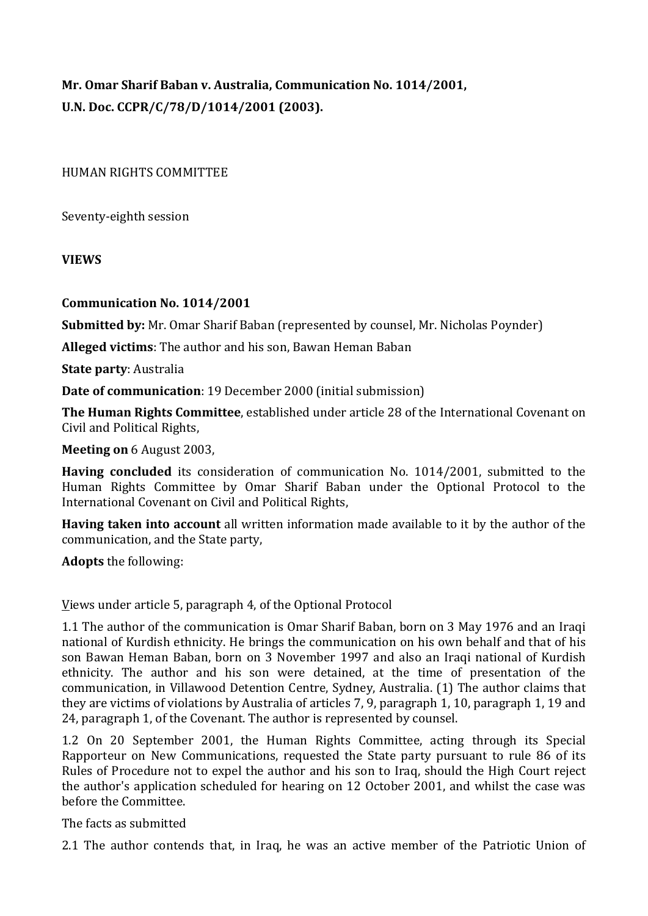**Mr. Omar Sharif Baban v. Australia, Communication No. 1014/2001,** U.N. Doc. CCPR/C/78/D/1014/2001 (2003).

HUMAN RIGHTS COMMITTEE

Seventy-eighth session

**VIEWS**

#### Communication No. 1014/2001

**Submitted by:** Mr. Omar Sharif Baban (represented by counsel, Mr. Nicholas Poynder)

**Alleged victims**: The author and his son, Bawan Heman Baban

**State party: Australia** 

**Date of communication**: 19 December 2000 (initial submission)

**The Human Rights Committee**, established under article 28 of the International Covenant on Civil and Political Rights,

**Meeting on** 6 August 2003,

**Having concluded** its consideration of communication No. 1014/2001, submitted to the Human Rights Committee by Omar Sharif Baban under the Optional Protocol to the International Covenant on Civil and Political Rights,

**Having taken into account** all written information made available to it by the author of the communication, and the State party,

**Adopts** the following:

<u>V</u>iews under article 5, paragraph 4, of the Optional Protocol

1.1 The author of the communication is Omar Sharif Baban, born on 3 May 1976 and an Iraqi national of Kurdish ethnicity. He brings the communication on his own behalf and that of his son Bawan Heman Baban, born on 3 November 1997 and also an Iraqi national of Kurdish ethnicity. The author and his son were detained, at the time of presentation of the communication, in Villawood Detention Centre, Sydney, Australia. (1) The author claims that they are victims of violations by Australia of articles 7, 9, paragraph 1, 10, paragraph 1, 19 and 24, paragraph 1, of the Covenant. The author is represented by counsel.

1.2 On 20 September 2001, the Human Rights Committee, acting through its Special Rapporteur on New Communications, requested the State party pursuant to rule 86 of its Rules of Procedure not to expel the author and his son to Iraq, should the High Court reject the author's application scheduled for hearing on 12 October 2001, and whilst the case was before the Committee.

The facts as submitted

2.1 The author contends that, in Iraq, he was an active member of the Patriotic Union of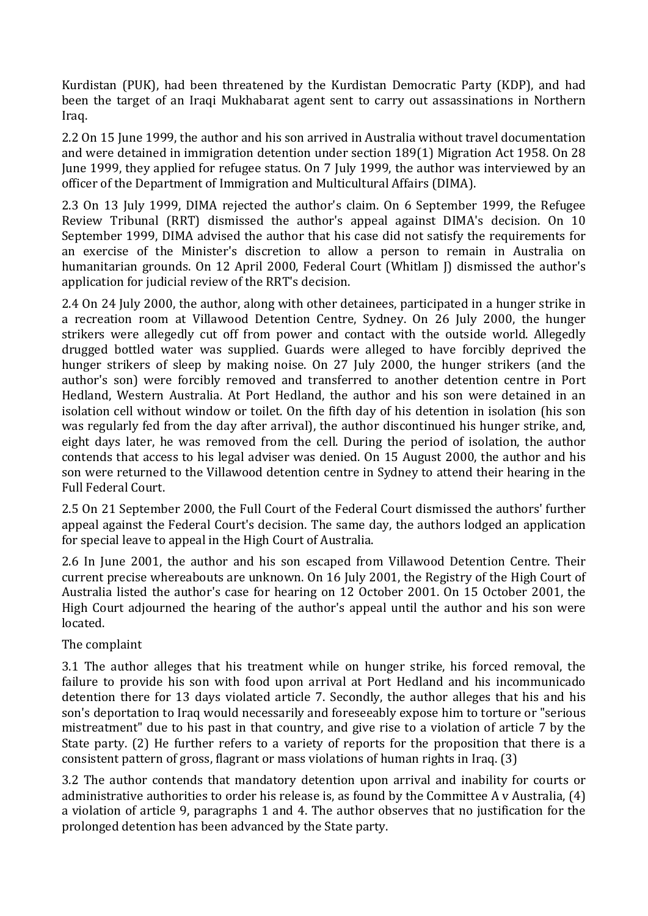Kurdistan (PUK), had been threatened by the Kurdistan Democratic Party (KDP), and had been the target of an Iraqi Mukhabarat agent sent to carry out assassinations in Northern Iraq.

2.2 On 15 June 1999, the author and his son arrived in Australia without travel documentation and were detained in immigration detention under section 189(1) Migration Act 1958. On 28 June 1999, they applied for refugee status. On 7 July 1999, the author was interviewed by an officer of the Department of Immigration and Multicultural Affairs (DIMA).

2.3 On 13 July 1999, DIMA rejected the author's claim. On 6 September 1999, the Refugee Review Tribunal (RRT) dismissed the author's appeal against DIMA's decision. On 10 September 1999, DIMA advised the author that his case did not satisfy the requirements for an exercise of the Minister's discretion to allow a person to remain in Australia on humanitarian grounds. On 12 April 2000, Federal Court (Whitlam J) dismissed the author's application for judicial review of the RRT's decision.

2.4 On 24 July 2000, the author, along with other detainees, participated in a hunger strike in a recreation room at Villawood Detention Centre, Sydney. On 26 July 2000, the hunger strikers were allegedly cut off from power and contact with the outside world. Allegedly drugged bottled water was supplied. Guards were alleged to have forcibly deprived the hunger strikers of sleep by making noise. On 27 July 2000, the hunger strikers (and the author's son) were forcibly removed and transferred to another detention centre in Port Hedland, Western Australia. At Port Hedland, the author and his son were detained in an isolation cell without window or toilet. On the fifth day of his detention in isolation (his son was regularly fed from the day after arrival), the author discontinued his hunger strike, and, eight days later, he was removed from the cell. During the period of isolation, the author contends that access to his legal adviser was denied. On 15 August 2000, the author and his son were returned to the Villawood detention centre in Sydney to attend their hearing in the Full Federal Court.

2.5 On 21 September 2000, the Full Court of the Federal Court dismissed the authors' further appeal against the Federal Court's decision. The same day, the authors lodged an application for special leave to appeal in the High Court of Australia.

2.6 In June 2001, the author and his son escaped from Villawood Detention Centre. Their current precise whereabouts are unknown. On 16 July 2001, the Registry of the High Court of Australia listed the author's case for hearing on 12 October 2001. On 15 October 2001, the High Court adjourned the hearing of the author's appeal until the author and his son were located.

## The complaint

3.1 The author alleges that his treatment while on hunger strike, his forced removal, the failure to provide his son with food upon arrival at Port Hedland and his incommunicado detention there for 13 days violated article 7. Secondly, the author alleges that his and his son's deportation to Iraq would necessarily and foreseeably expose him to torture or "serious mistreatment" due to his past in that country, and give rise to a violation of article 7 by the State party.  $(2)$  He further refers to a variety of reports for the proposition that there is a consistent pattern of gross, flagrant or mass violations of human rights in Iraq.  $(3)$ 

3.2 The author contends that mandatory detention upon arrival and inability for courts or administrative authorities to order his release is, as found by the Committee A v Australia,  $(4)$ a violation of article 9, paragraphs 1 and 4. The author observes that no justification for the prolonged detention has been advanced by the State party.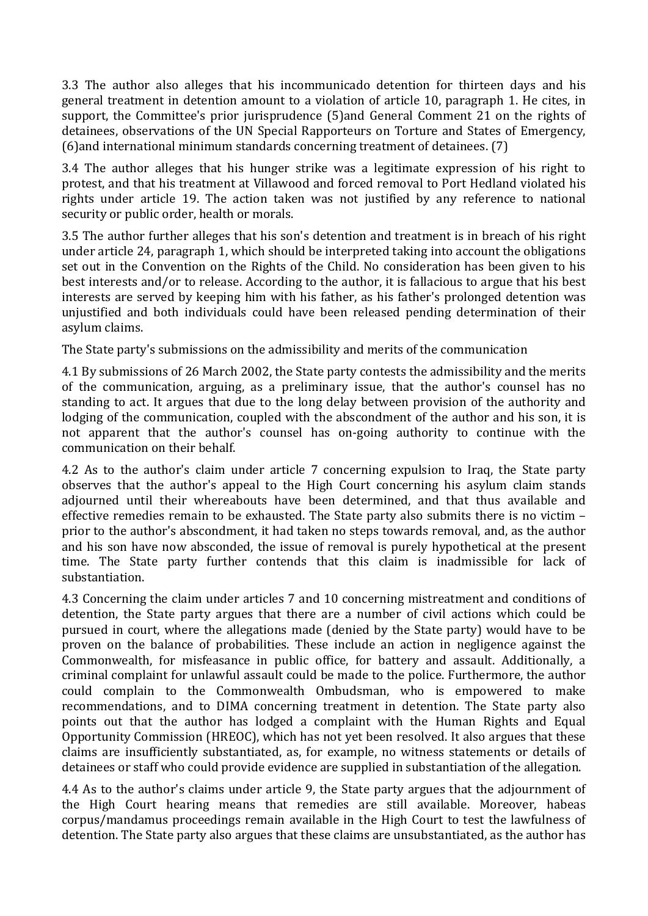3.3 The author also alleges that his incommunicado detention for thirteen days and his general treatment in detention amount to a violation of article 10, paragraph 1. He cites, in support, the Committee's prior jurisprudence (5)and General Comment 21 on the rights of detainees, observations of the UN Special Rapporteurs on Torture and States of Emergency,  $(6)$  and international minimum standards concerning treatment of detainees.  $(7)$ 

3.4 The author alleges that his hunger strike was a legitimate expression of his right to protest, and that his treatment at Villawood and forced removal to Port Hedland violated his rights under article 19. The action taken was not justified by any reference to national security or public order, health or morals.

3.5 The author further alleges that his son's detention and treatment is in breach of his right under article 24, paragraph 1, which should be interpreted taking into account the obligations set out in the Convention on the Rights of the Child. No consideration has been given to his best interests and/or to release. According to the author, it is fallacious to argue that his best interests are served by keeping him with his father, as his father's prolonged detention was unjustified and both individuals could have been released pending determination of their asylum claims.

The State party's submissions on the admissibility and merits of the communication

4.1 By submissions of 26 March 2002, the State party contests the admissibility and the merits of the communication, arguing, as a preliminary issue, that the author's counsel has no standing to act. It argues that due to the long delay between provision of the authority and lodging of the communication, coupled with the abscondment of the author and his son, it is not apparent that the author's counsel has on-going authority to continue with the communication on their behalf.

4.2 As to the author's claim under article 7 concerning expulsion to Iraq, the State party observes that the author's appeal to the High Court concerning his asylum claim stands adjourned until their whereabouts have been determined, and that thus available and effective remedies remain to be exhausted. The State party also submits there is no victim  $$ prior to the author's abscondment, it had taken no steps towards removal, and, as the author and his son have now absconded, the issue of removal is purely hypothetical at the present time. The State party further contends that this claim is inadmissible for lack of substantiation.

4.3 Concerning the claim under articles 7 and 10 concerning mistreatment and conditions of detention, the State party argues that there are a number of civil actions which could be pursued in court, where the allegations made (denied by the State party) would have to be proven on the balance of probabilities. These include an action in negligence against the Commonwealth, for misfeasance in public office, for battery and assault. Additionally, a criminal complaint for unlawful assault could be made to the police. Furthermore, the author could complain to the Commonwealth Ombudsman, who is empowered to make recommendations, and to DIMA concerning treatment in detention. The State party also points out that the author has lodged a complaint with the Human Rights and Equal Opportunity Commission (HREOC), which has not yet been resolved. It also argues that these claims are insufficiently substantiated, as, for example, no witness statements or details of detainees or staff who could provide evidence are supplied in substantiation of the allegation.

4.4 As to the author's claims under article 9, the State party argues that the adjournment of the High Court hearing means that remedies are still available. Moreover, habeas corpus/mandamus proceedings remain available in the High Court to test the lawfulness of detention. The State party also argues that these claims are unsubstantiated, as the author has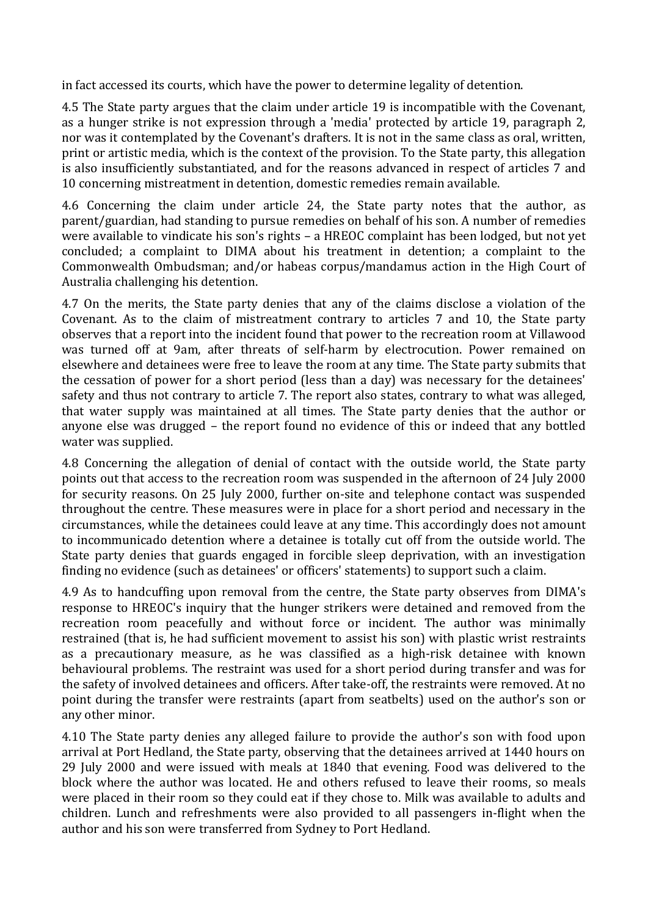in fact accessed its courts, which have the power to determine legality of detention.

4.5 The State party argues that the claim under article 19 is incompatible with the Covenant, as a hunger strike is not expression through a 'media' protected by article 19, paragraph 2, nor was it contemplated by the Covenant's drafters. It is not in the same class as oral, written, print or artistic media, which is the context of the provision. To the State party, this allegation is also insufficiently substantiated, and for the reasons advanced in respect of articles 7 and 10 concerning mistreatment in detention, domestic remedies remain available.

4.6 Concerning the claim under article 24, the State party notes that the author, as parent/guardian, had standing to pursue remedies on behalf of his son. A number of remedies were available to vindicate his son's rights  $-$  a HREOC complaint has been lodged, but not yet concluded; a complaint to DIMA about his treatment in detention; a complaint to the Commonwealth Ombudsman; and/or habeas corpus/mandamus action in the High Court of Australia challenging his detention.

4.7 On the merits, the State party denies that any of the claims disclose a violation of the Covenant. As to the claim of mistreatment contrary to articles 7 and 10, the State party observes that a report into the incident found that power to the recreation room at Villawood was turned off at 9am, after threats of self-harm by electrocution. Power remained on elsewhere and detainees were free to leave the room at any time. The State party submits that the cessation of power for a short period (less than a day) was necessary for the detainees' safety and thus not contrary to article 7. The report also states, contrary to what was alleged, that water supply was maintained at all times. The State party denies that the author or anyone else was drugged  $-$  the report found no evidence of this or indeed that any bottled water was supplied.

4.8 Concerning the allegation of denial of contact with the outside world, the State party points out that access to the recreation room was suspended in the afternoon of 24 July 2000 for security reasons. On 25 July 2000, further on-site and telephone contact was suspended throughout the centre. These measures were in place for a short period and necessary in the circumstances, while the detainees could leave at any time. This accordingly does not amount to incommunicado detention where a detainee is totally cut off from the outside world. The State party denies that guards engaged in forcible sleep deprivation, with an investigation finding no evidence (such as detainees' or officers' statements) to support such a claim.

4.9 As to handcuffing upon removal from the centre, the State party observes from DIMA's response to HREOC's inquiry that the hunger strikers were detained and removed from the recreation room peacefully and without force or incident. The author was minimally restrained (that is, he had sufficient movement to assist his son) with plastic wrist restraints as a precautionary measure, as he was classified as a high-risk detainee with known behavioural problems. The restraint was used for a short period during transfer and was for the safety of involved detainees and officers. After take-off, the restraints were removed. At no point during the transfer were restraints (apart from seatbelts) used on the author's son or any other minor.

4.10 The State party denies any alleged failure to provide the author's son with food upon arrival at Port Hedland, the State party, observing that the detainees arrived at 1440 hours on 29 July 2000 and were issued with meals at 1840 that evening. Food was delivered to the block where the author was located. He and others refused to leave their rooms, so meals were placed in their room so they could eat if they chose to. Milk was available to adults and children. Lunch and refreshments were also provided to all passengers in-flight when the author and his son were transferred from Sydney to Port Hedland.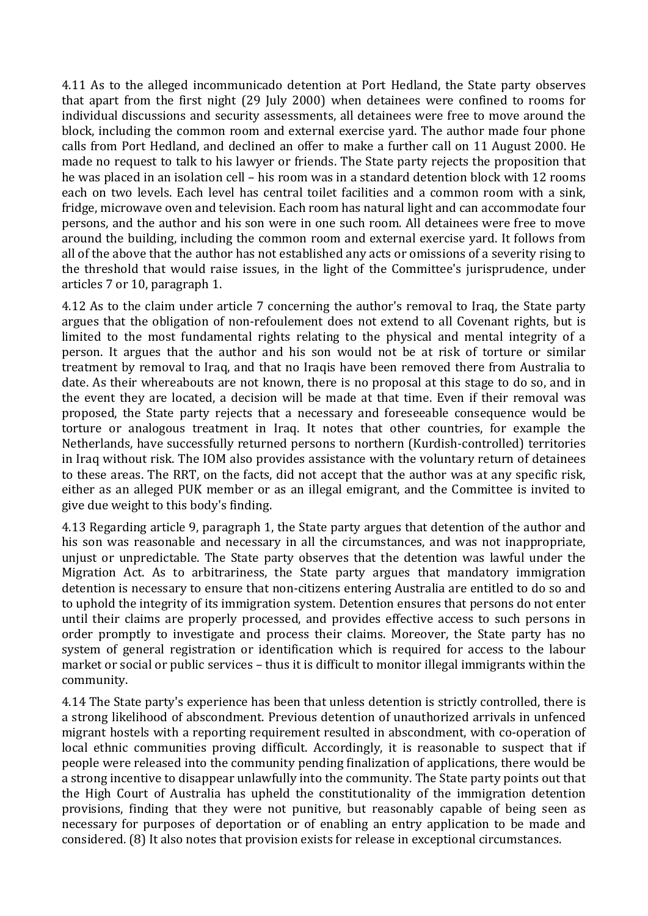4.11 As to the alleged incommunicado detention at Port Hedland, the State party observes that apart from the first night (29 July 2000) when detainees were confined to rooms for individual discussions and security assessments, all detainees were free to move around the block, including the common room and external exercise vard. The author made four phone calls from Port Hedland, and declined an offer to make a further call on 11 August 2000. He made no request to talk to his lawyer or friends. The State party rejects the proposition that he was placed in an isolation cell – his room was in a standard detention block with 12 rooms each on two levels. Each level has central toilet facilities and a common room with a sink, fridge, microwave oven and television. Each room has natural light and can accommodate four persons, and the author and his son were in one such room. All detainees were free to move around the building, including the common room and external exercise vard. It follows from all of the above that the author has not established any acts or omissions of a severity rising to the threshold that would raise issues, in the light of the Committee's jurisprudence, under articles 7 or 10, paragraph 1.

4.12 As to the claim under article 7 concerning the author's removal to Iraq, the State party argues that the obligation of non-refoulement does not extend to all Covenant rights, but is limited to the most fundamental rights relating to the physical and mental integrity of a person. It argues that the author and his son would not be at risk of torture or similar treatment by removal to Iraq, and that no Iraqis have been removed there from Australia to date. As their whereabouts are not known, there is no proposal at this stage to do so, and in the event they are located, a decision will be made at that time. Even if their removal was proposed, the State party rejects that a necessary and foreseeable consequence would be torture or analogous treatment in Iraq. It notes that other countries, for example the Netherlands, have successfully returned persons to northern (Kurdish-controlled) territories in Iraq without risk. The IOM also provides assistance with the voluntary return of detainees to these areas. The RRT, on the facts, did not accept that the author was at any specific risk, either as an alleged PUK member or as an illegal emigrant, and the Committee is invited to give due weight to this body's finding.

4.13 Regarding article 9, paragraph 1, the State party argues that detention of the author and his son was reasonable and necessary in all the circumstances, and was not inappropriate, unjust or unpredictable. The State party observes that the detention was lawful under the Migration Act. As to arbitrariness, the State party argues that mandatory immigration detention is necessary to ensure that non-citizens entering Australia are entitled to do so and to uphold the integrity of its immigration system. Detention ensures that persons do not enter until their claims are properly processed, and provides effective access to such persons in order promptly to investigate and process their claims. Moreover, the State party has no system of general registration or identification which is required for access to the labour market or social or public services - thus it is difficult to monitor illegal immigrants within the community.

4.14 The State party's experience has been that unless detention is strictly controlled, there is a strong likelihood of abscondment. Previous detention of unauthorized arrivals in unfenced migrant hostels with a reporting requirement resulted in abscondment, with co-operation of local ethnic communities proving difficult. Accordingly, it is reasonable to suspect that if people were released into the community pending finalization of applications, there would be a strong incentive to disappear unlawfully into the community. The State party points out that the High Court of Australia has upheld the constitutionality of the immigration detention provisions, finding that they were not punitive, but reasonably capable of being seen as necessary for purposes of deportation or of enabling an entry application to be made and considered. (8) It also notes that provision exists for release in exceptional circumstances.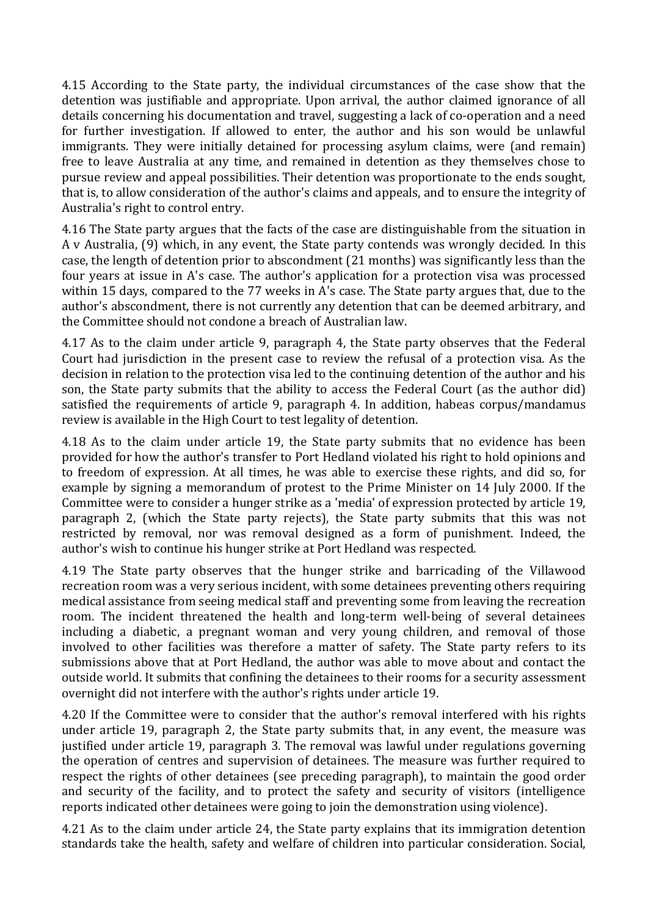4.15 According to the State party, the individual circumstances of the case show that the detention was justifiable and appropriate. Upon arrival, the author claimed ignorance of all details concerning his documentation and travel, suggesting a lack of co-operation and a need for further investigation. If allowed to enter, the author and his son would be unlawful immigrants. They were initially detained for processing asylum claims, were (and remain) free to leave Australia at any time, and remained in detention as they themselves chose to pursue review and appeal possibilities. Their detention was proportionate to the ends sought, that is, to allow consideration of the author's claims and appeals, and to ensure the integrity of Australia's right to control entry.

4.16 The State party argues that the facts of the case are distinguishable from the situation in A v Australia, (9) which, in any event, the State party contends was wrongly decided. In this case, the length of detention prior to abscondment (21 months) was significantly less than the four years at issue in A's case. The author's application for a protection visa was processed within 15 days, compared to the 77 weeks in A's case. The State party argues that, due to the author's abscondment, there is not currently any detention that can be deemed arbitrary, and the Committee should not condone a breach of Australian law.

4.17 As to the claim under article 9, paragraph 4, the State party observes that the Federal Court had jurisdiction in the present case to review the refusal of a protection visa. As the decision in relation to the protection visa led to the continuing detention of the author and his son, the State party submits that the ability to access the Federal Court (as the author did) satisfied the requirements of article 9, paragraph 4. In addition, habeas corpus/mandamus review is available in the High Court to test legality of detention.

4.18 As to the claim under article 19, the State party submits that no evidence has been provided for how the author's transfer to Port Hedland violated his right to hold opinions and to freedom of expression. At all times, he was able to exercise these rights, and did so, for example by signing a memorandum of protest to the Prime Minister on 14 July 2000. If the Committee were to consider a hunger strike as a 'media' of expression protected by article 19, paragraph 2, (which the State party rejects), the State party submits that this was not restricted by removal, nor was removal designed as a form of punishment. Indeed, the author's wish to continue his hunger strike at Port Hedland was respected.

4.19 The State party observes that the hunger strike and barricading of the Villawood recreation room was a very serious incident, with some detainees preventing others requiring medical assistance from seeing medical staff and preventing some from leaving the recreation room. The incident threatened the health and long-term well-being of several detainees including a diabetic, a pregnant woman and very young children, and removal of those involved to other facilities was therefore a matter of safety. The State party refers to its submissions above that at Port Hedland, the author was able to move about and contact the outside world. It submits that confining the detainees to their rooms for a security assessment overnight did not interfere with the author's rights under article 19.

4.20 If the Committee were to consider that the author's removal interfered with his rights under article 19, paragraph 2, the State party submits that, in any event, the measure was justified under article 19, paragraph 3. The removal was lawful under regulations governing the operation of centres and supervision of detainees. The measure was further required to respect the rights of other detainees (see preceding paragraph), to maintain the good order and security of the facility, and to protect the safety and security of visitors (intelligence reports indicated other detainees were going to join the demonstration using violence).

4.21 As to the claim under article 24, the State party explains that its immigration detention standards take the health, safety and welfare of children into particular consideration. Social,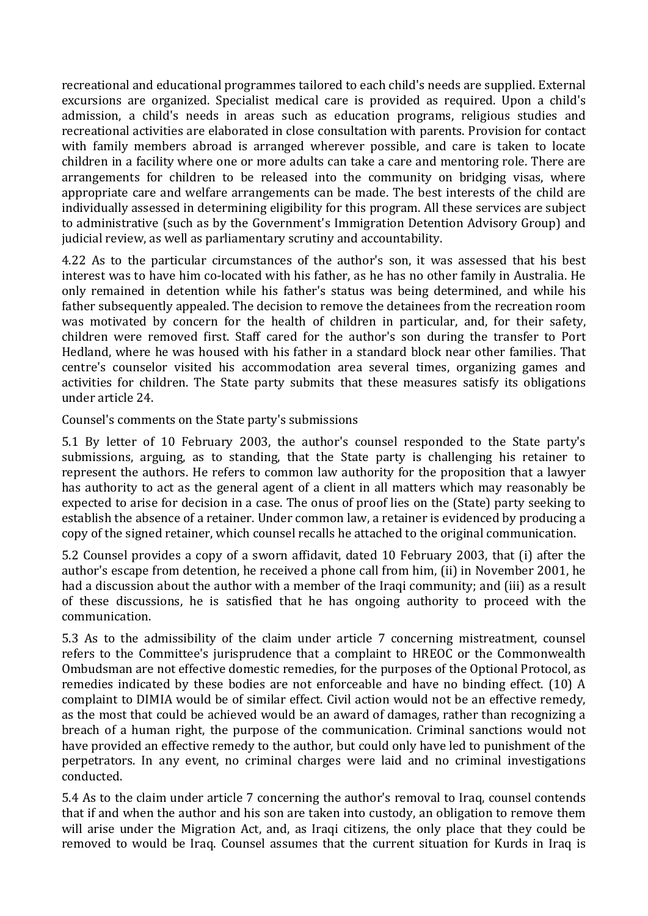recreational and educational programmes tailored to each child's needs are supplied. External excursions are organized. Specialist medical care is provided as required. Upon a child's admission, a child's needs in areas such as education programs, religious studies and recreational activities are elaborated in close consultation with parents. Provision for contact with family members abroad is arranged wherever possible, and care is taken to locate children in a facility where one or more adults can take a care and mentoring role. There are arrangements for children to be released into the community on bridging visas, where appropriate care and welfare arrangements can be made. The best interests of the child are individually assessed in determining eligibility for this program. All these services are subject to administrative (such as by the Government's Immigration Detention Advisory Group) and judicial review, as well as parliamentary scrutiny and accountability.

4.22 As to the particular circumstances of the author's son, it was assessed that his best interest was to have him co-located with his father, as he has no other family in Australia. He only remained in detention while his father's status was being determined, and while his father subsequently appealed. The decision to remove the detainees from the recreation room was motivated by concern for the health of children in particular, and, for their safety, children were removed first. Staff cared for the author's son during the transfer to Port Hedland, where he was housed with his father in a standard block near other families. That centre's counselor visited his accommodation area several times, organizing games and activities for children. The State party submits that these measures satisfy its obligations under article 24.

Counsel's comments on the State party's submissions

5.1 By letter of 10 February 2003, the author's counsel responded to the State party's submissions, arguing, as to standing, that the State party is challenging his retainer to represent the authors. He refers to common law authority for the proposition that a lawyer has authority to act as the general agent of a client in all matters which may reasonably be expected to arise for decision in a case. The onus of proof lies on the (State) party seeking to establish the absence of a retainer. Under common law, a retainer is evidenced by producing a copy of the signed retainer, which counsel recalls he attached to the original communication.

5.2 Counsel provides a copy of a sworn affidavit, dated 10 February 2003, that (i) after the author's escape from detention, he received a phone call from him, (ii) in November 2001, he had a discussion about the author with a member of the Iraqi community; and (iii) as a result of these discussions, he is satisfied that he has ongoing authority to proceed with the communication.

5.3 As to the admissibility of the claim under article 7 concerning mistreatment, counsel refers to the Committee's jurisprudence that a complaint to HREOC or the Commonwealth Ombudsman are not effective domestic remedies, for the purposes of the Optional Protocol, as remedies indicated by these bodies are not enforceable and have no binding effect. (10) A complaint to DIMIA would be of similar effect. Civil action would not be an effective remedy, as the most that could be achieved would be an award of damages, rather than recognizing a breach of a human right, the purpose of the communication. Criminal sanctions would not have provided an effective remedy to the author, but could only have led to punishment of the perpetrators. In any event, no criminal charges were laid and no criminal investigations conducted.

5.4 As to the claim under article 7 concerning the author's removal to Iraq, counsel contends that if and when the author and his son are taken into custody, an obligation to remove them will arise under the Migration Act, and, as Iraqi citizens, the only place that they could be removed to would be Iraq. Counsel assumes that the current situation for Kurds in Iraq is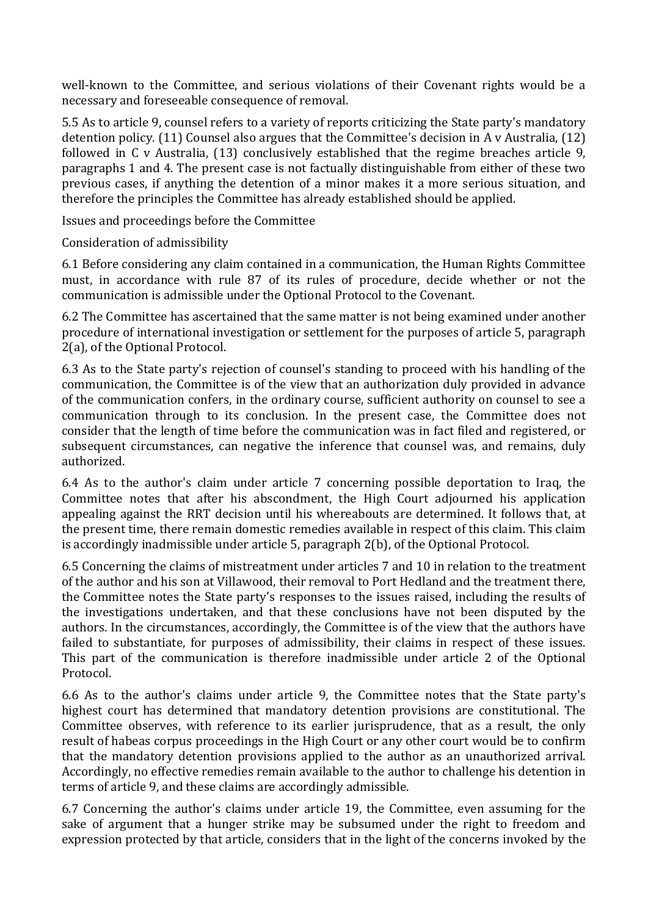well-known to the Committee, and serious violations of their Covenant rights would be a necessary and foreseeable consequence of removal.

5.5 As to article 9, counsel refers to a variety of reports criticizing the State party's mandatory detention policy.  $(11)$  Counsel also argues that the Committee's decision in A v Australia,  $(12)$ followed in  $C$  v Australia,  $(13)$  conclusively established that the regime breaches article 9, paragraphs 1 and 4. The present case is not factually distinguishable from either of these two previous cases, if anything the detention of a minor makes it a more serious situation, and therefore the principles the Committee has already established should be applied.

Issues and proceedings before the Committee

Consideration of admissibility

6.1 Before considering any claim contained in a communication, the Human Rights Committee must, in accordance with rule 87 of its rules of procedure, decide whether or not the communication is admissible under the Optional Protocol to the Covenant.

6.2 The Committee has ascertained that the same matter is not being examined under another procedure of international investigation or settlement for the purposes of article 5, paragraph 2(a), of the Optional Protocol.

6.3 As to the State party's rejection of counsel's standing to proceed with his handling of the communication, the Committee is of the view that an authorization duly provided in advance of the communication confers, in the ordinary course, sufficient authority on counsel to see a communication through to its conclusion. In the present case, the Committee does not consider that the length of time before the communication was in fact filed and registered, or subsequent circumstances, can negative the inference that counsel was, and remains, duly authorized.

6.4 As to the author's claim under article 7 concerning possible deportation to Iraq, the Committee notes that after his abscondment, the High Court adjourned his application appealing against the RRT decision until his whereabouts are determined. It follows that, at the present time, there remain domestic remedies available in respect of this claim. This claim is accordingly inadmissible under article  $5$ , paragraph  $2(b)$ , of the Optional Protocol.

6.5 Concerning the claims of mistreatment under articles 7 and 10 in relation to the treatment of the author and his son at Villawood, their removal to Port Hedland and the treatment there, the Committee notes the State party's responses to the issues raised, including the results of the investigations undertaken, and that these conclusions have not been disputed by the authors. In the circumstances, accordingly, the Committee is of the view that the authors have failed to substantiate, for purposes of admissibility, their claims in respect of these issues. This part of the communication is therefore inadmissible under article 2 of the Optional Protocol.

6.6 As to the author's claims under article 9, the Committee notes that the State party's highest court has determined that mandatory detention provisions are constitutional. The Committee observes, with reference to its earlier jurisprudence, that as a result, the only result of habeas corpus proceedings in the High Court or any other court would be to confirm that the mandatory detention provisions applied to the author as an unauthorized arrival. Accordingly, no effective remedies remain available to the author to challenge his detention in terms of article 9, and these claims are accordingly admissible.

6.7 Concerning the author's claims under article 19, the Committee, even assuming for the sake of argument that a hunger strike may be subsumed under the right to freedom and expression protected by that article, considers that in the light of the concerns invoked by the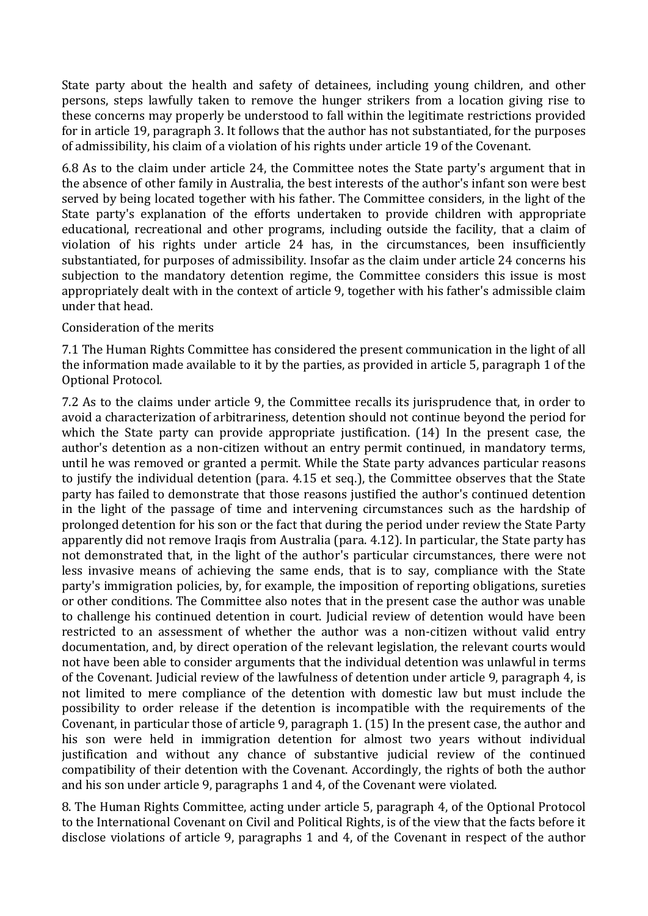State party about the health and safety of detainees, including young children, and other persons, steps lawfully taken to remove the hunger strikers from a location giving rise to these concerns may properly be understood to fall within the legitimate restrictions provided for in article 19, paragraph 3. It follows that the author has not substantiated, for the purposes of admissibility, his claim of a violation of his rights under article 19 of the Covenant.

6.8 As to the claim under article 24, the Committee notes the State party's argument that in the absence of other family in Australia, the best interests of the author's infant son were best served by being located together with his father. The Committee considers, in the light of the State party's explanation of the efforts undertaken to provide children with appropriate educational, recreational and other programs, including outside the facility, that a claim of violation of his rights under article 24 has, in the circumstances, been insufficiently substantiated, for purposes of admissibility. Insofar as the claim under article 24 concerns his subjection to the mandatory detention regime, the Committee considers this issue is most appropriately dealt with in the context of article 9, together with his father's admissible claim under that head.

Consideration of the merits

7.1 The Human Rights Committee has considered the present communication in the light of all the information made available to it by the parties, as provided in article 5, paragraph 1 of the Optional Protocol.

7.2 As to the claims under article 9, the Committee recalls its jurisprudence that, in order to avoid a characterization of arbitrariness, detention should not continue beyond the period for which the State party can provide appropriate justification.  $(14)$  In the present case, the author's detention as a non-citizen without an entry permit continued, in mandatory terms, until he was removed or granted a permit. While the State party advances particular reasons to justify the individual detention (para. 4.15 et seq.), the Committee observes that the State party has failed to demonstrate that those reasons justified the author's continued detention in the light of the passage of time and intervening circumstances such as the hardship of prolonged detention for his son or the fact that during the period under review the State Party apparently did not remove Iraqis from Australia (para. 4.12). In particular, the State party has not demonstrated that, in the light of the author's particular circumstances, there were not less invasive means of achieving the same ends, that is to say, compliance with the State party's immigration policies, by, for example, the imposition of reporting obligations, sureties or other conditions. The Committee also notes that in the present case the author was unable to challenge his continued detention in court. Judicial review of detention would have been restricted to an assessment of whether the author was a non-citizen without valid entry documentation, and, by direct operation of the relevant legislation, the relevant courts would not have been able to consider arguments that the individual detention was unlawful in terms of the Covenant. Judicial review of the lawfulness of detention under article 9, paragraph 4, is not limited to mere compliance of the detention with domestic law but must include the possibility to order release if the detention is incompatible with the requirements of the Covenant, in particular those of article 9, paragraph 1.  $(15)$  In the present case, the author and his son were held in immigration detention for almost two years without individual justification and without any chance of substantive judicial review of the continued compatibility of their detention with the Covenant. Accordingly, the rights of both the author and his son under article 9, paragraphs 1 and 4, of the Covenant were violated.

8. The Human Rights Committee, acting under article 5, paragraph 4, of the Optional Protocol to the International Covenant on Civil and Political Rights, is of the view that the facts before it disclose violations of article 9, paragraphs 1 and 4, of the Covenant in respect of the author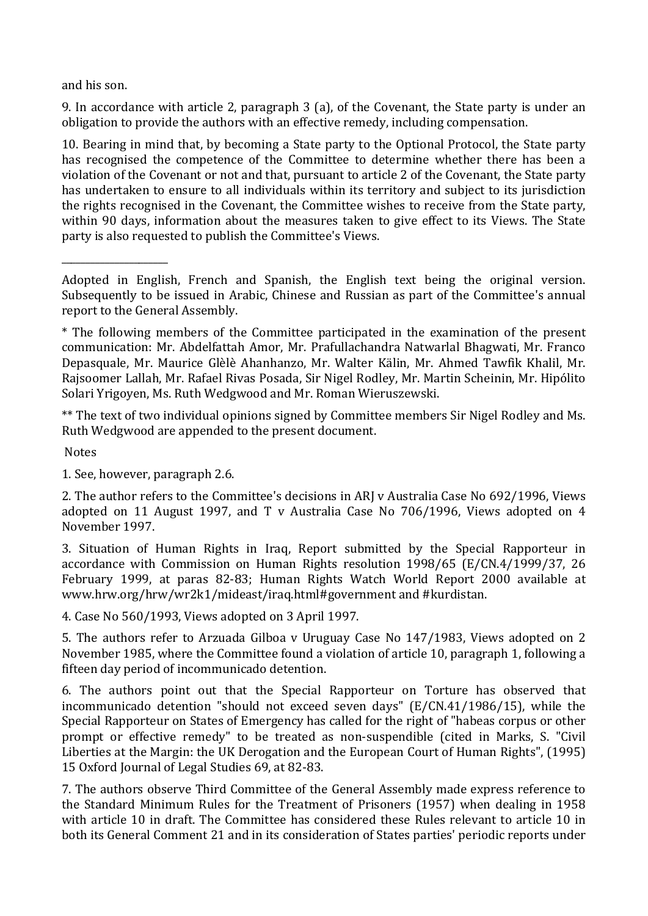and his son.

\_\_\_\_\_\_\_\_\_\_\_\_\_\_\_\_\_\_\_\_\_\_

9. In accordance with article 2, paragraph  $3$  (a), of the Covenant, the State party is under an obligation to provide the authors with an effective remedy, including compensation.

10. Bearing in mind that, by becoming a State party to the Optional Protocol, the State party has recognised the competence of the Committee to determine whether there has been a violation of the Covenant or not and that, pursuant to article 2 of the Covenant, the State party has undertaken to ensure to all individuals within its territory and subject to its jurisdiction the rights recognised in the Covenant, the Committee wishes to receive from the State party, within 90 days, information about the measures taken to give effect to its Views. The State party is also requested to publish the Committee's Views.

Adopted in English, French and Spanish, the English text being the original version. Subsequently to be issued in Arabic, Chinese and Russian as part of the Committee's annual report to the General Assembly.

\* The following members of the Committee participated in the examination of the present communication: Mr. Abdelfattah Amor, Mr. Prafullachandra Natwarlal Bhagwati, Mr. Franco Depasquale, Mr. Maurice Glèlè Ahanhanzo, Mr. Walter Kälin, Mr. Ahmed Tawfik Khalil, Mr. Rajsoomer Lallah, Mr. Rafael Rivas Posada, Sir Nigel Rodley, Mr. Martin Scheinin, Mr. Hipólito Solari Yrigoyen, Ms. Ruth Wedgwood and Mr. Roman Wieruszewski.

\*\* The text of two individual opinions signed by Committee members Sir Nigel Rodley and Ms. Ruth Wedgwood are appended to the present document.

Notes

1. See, however, paragraph 2.6.

2. The author refers to the Committee's decisions in ARJ v Australia Case No 692/1996, Views adopted on 11 August 1997, and T v Australia Case No  $706/1996$ , Views adopted on 4 November 1997.

3. Situation of Human Rights in Iraq, Report submitted by the Special Rapporteur in accordance with Commission on Human Rights resolution 1998/65 (E/CN.4/1999/37, 26 February 1999, at paras 82-83; Human Rights Watch World Report 2000 available at www.hrw.org/hrw/wr2k1/mideast/iraq.html#government and #kurdistan.

4. Case No 560/1993, Views adopted on 3 April 1997.

5. The authors refer to Arzuada Gilboa v Uruguay Case No 147/1983, Views adopted on 2 November 1985, where the Committee found a violation of article 10, paragraph 1, following a fifteen day period of incommunicado detention.

6. The authors point out that the Special Rapporteur on Torture has observed that incommunicado detention "should not exceed seven days"  $(E/CN.41/1986/15)$ , while the Special Rapporteur on States of Emergency has called for the right of "habeas corpus or other prompt or effective remedy" to be treated as non-suspendible (cited in Marks, S. "Civil Liberties at the Margin: the UK Derogation and the European Court of Human Rights", (1995) 15 Oxford Journal of Legal Studies 69, at 82-83.

7. The authors observe Third Committee of the General Assembly made express reference to the Standard Minimum Rules for the Treatment of Prisoners (1957) when dealing in 1958 with article 10 in draft. The Committee has considered these Rules relevant to article 10 in both its General Comment 21 and in its consideration of States parties' periodic reports under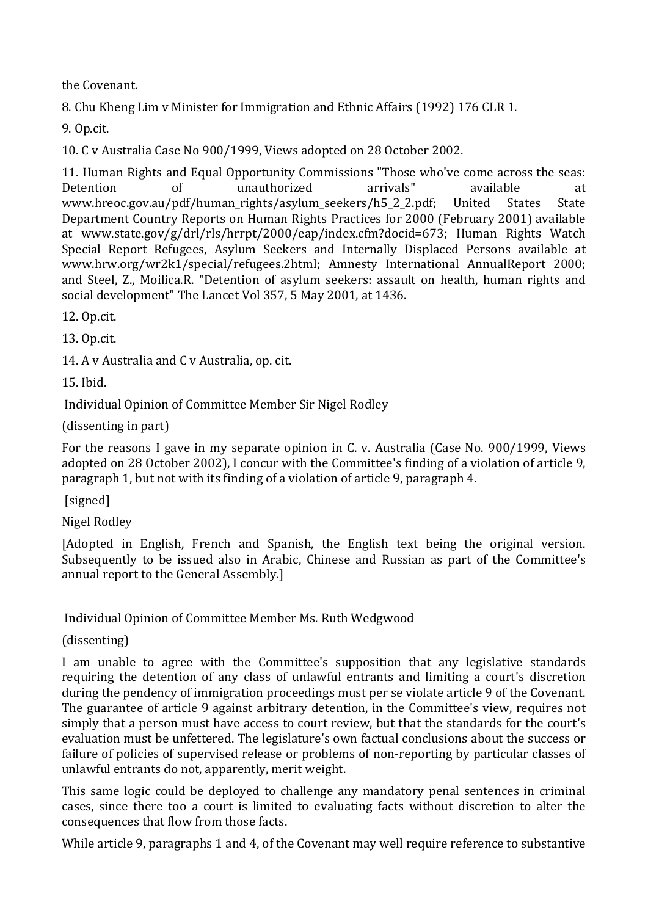the Covenant.

8. Chu Kheng Lim v Minister for Immigration and Ethnic Affairs (1992) 176 CLR 1.

9. Op.cit.

10. C v Australia Case No 900/1999, Views adopted on 28 October 2002.

11. Human Rights and Equal Opportunity Commissions "Those who've come across the seas: Detention of unauthorized arrivals" available at www.hreoc.gov.au/pdf/human\_rights/asylum\_seekers/h5\_2\_2.pdf: United States State Department Country Reports on Human Rights Practices for 2000 (February 2001) available at www.state.gov/g/drl/rls/hrrpt/2000/eap/index.cfm?docid=673; Human Rights Watch Special Report Refugees, Asylum Seekers and Internally Displaced Persons available at www.hrw.org/wr2k1/special/refugees.2html; Amnesty International AnnualReport 2000; and Steel, Z., Moilica.R. "Detention of asylum seekers: assault on health, human rights and social development" The Lancet Vol 357, 5 May 2001, at 1436.

12. Op.cit.

13. Op.cit.

14. A v Australia and C v Australia, op. cit.

15. Ibid.

Individual Opinion of Committee Member Sir Nigel Rodley

(dissenting in part)

For the reasons I gave in my separate opinion in C. v. Australia (Case No. 900/1999, Views adopted on 28 October 2002), I concur with the Committee's finding of a violation of article 9, paragraph 1, but not with its finding of a violation of article 9, paragraph 4.

[signed]

Nigel Rodley

[Adopted in English, French and Spanish, the English text being the original version. Subsequently to be issued also in Arabic, Chinese and Russian as part of the Committee's annual report to the General Assembly.]

Individual Opinion of Committee Member Ms. Ruth Wedgwood

(dissenting)

I am unable to agree with the Committee's supposition that any legislative standards requiring the detention of any class of unlawful entrants and limiting a court's discretion during the pendency of immigration proceedings must per se violate article 9 of the Covenant. The guarantee of article 9 against arbitrary detention, in the Committee's view, requires not simply that a person must have access to court review, but that the standards for the court's evaluation must be unfettered. The legislature's own factual conclusions about the success or failure of policies of supervised release or problems of non-reporting by particular classes of unlawful entrants do not, apparently, merit weight.

This same logic could be deployed to challenge any mandatory penal sentences in criminal cases, since there too a court is limited to evaluating facts without discretion to alter the consequences that flow from those facts.

While article 9, paragraphs 1 and 4, of the Covenant may well require reference to substantive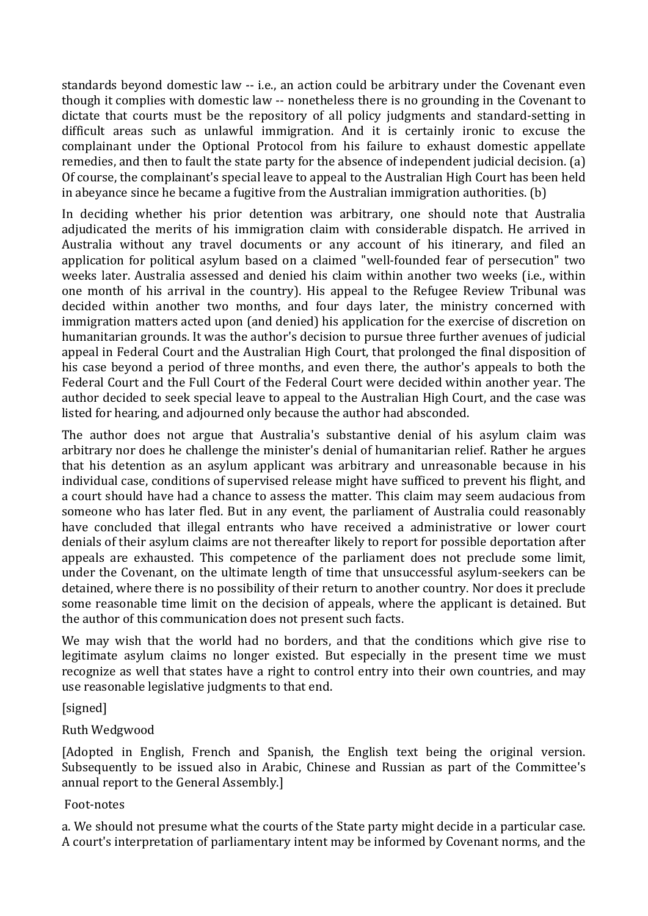standards beyond domestic law -- i.e., an action could be arbitrary under the Covenant even though it complies with domestic law -- nonetheless there is no grounding in the Covenant to dictate that courts must be the repository of all policy judgments and standard-setting in difficult areas such as unlawful immigration. And it is certainly ironic to excuse the complainant under the Optional Protocol from his failure to exhaust domestic appellate remedies, and then to fault the state party for the absence of independent judicial decision. (a) Of course, the complainant's special leave to appeal to the Australian High Court has been held in abeyance since he became a fugitive from the Australian immigration authorities.  $(b)$ 

In deciding whether his prior detention was arbitrary, one should note that Australia adjudicated the merits of his immigration claim with considerable dispatch. He arrived in Australia without any travel documents or any account of his itinerary, and filed an application for political asylum based on a claimed "well-founded fear of persecution" two weeks later. Australia assessed and denied his claim within another two weeks (i.e., within one month of his arrival in the country). His appeal to the Refugee Review Tribunal was decided within another two months, and four days later, the ministry concerned with immigration matters acted upon (and denied) his application for the exercise of discretion on humanitarian grounds. It was the author's decision to pursue three further avenues of judicial appeal in Federal Court and the Australian High Court, that prolonged the final disposition of his case beyond a period of three months, and even there, the author's appeals to both the Federal Court and the Full Court of the Federal Court were decided within another year. The author decided to seek special leave to appeal to the Australian High Court, and the case was listed for hearing, and adjourned only because the author had absconded.

The author does not argue that Australia's substantive denial of his asylum claim was arbitrary nor does he challenge the minister's denial of humanitarian relief. Rather he argues that his detention as an asylum applicant was arbitrary and unreasonable because in his individual case, conditions of supervised release might have sufficed to prevent his flight, and a court should have had a chance to assess the matter. This claim may seem audacious from someone who has later fled. But in any event, the parliament of Australia could reasonably have concluded that illegal entrants who have received a administrative or lower court denials of their asylum claims are not thereafter likely to report for possible deportation after appeals are exhausted. This competence of the parliament does not preclude some limit, under the Covenant, on the ultimate length of time that unsuccessful asylum-seekers can be detained, where there is no possibility of their return to another country. Nor does it preclude some reasonable time limit on the decision of appeals, where the applicant is detained. But the author of this communication does not present such facts.

We may wish that the world had no borders, and that the conditions which give rise to legitimate asylum claims no longer existed. But especially in the present time we must recognize as well that states have a right to control entry into their own countries, and may use reasonable legislative judgments to that end.

## [signed]

# Ruth Wedgwood

[Adopted in English, French and Spanish, the English text being the original version. Subsequently to be issued also in Arabic, Chinese and Russian as part of the Committee's annual report to the General Assembly.]

## Foot-notes

a. We should not presume what the courts of the State party might decide in a particular case. A court's interpretation of parliamentary intent may be informed by Covenant norms, and the